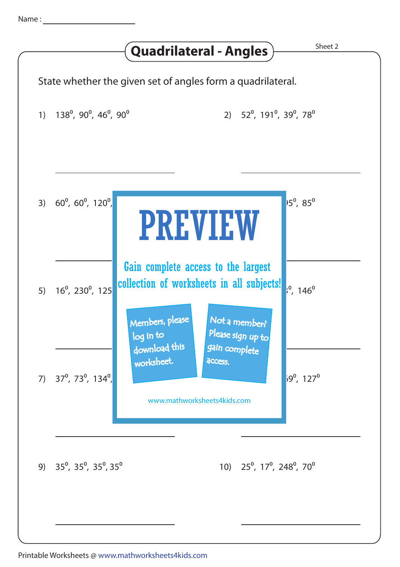|                                                                     |                                          | <b>Quadrilateral - Angles</b>                                                                     | Sheet 2                          |  |
|---------------------------------------------------------------------|------------------------------------------|---------------------------------------------------------------------------------------------------|----------------------------------|--|
| State whether the given set of angles form a quadrilateral.         |                                          |                                                                                                   |                                  |  |
| $138^{\circ}$ , 90 $^{\circ}$ , 46 $^{\circ}$ , 90 $^{\circ}$<br>1) |                                          | 2) $52^{\circ}$ , 191 <sup>°</sup> , 39 <sup>°</sup> , 78 <sup>°</sup>                            |                                  |  |
| 3) $60^{\circ}$ , $60^{\circ}$ , $120^{\circ}$ ,                    |                                          | <b>PREVIEW</b>                                                                                    | <sup>15°</sup> , 85 <sup>°</sup> |  |
| $16^{\circ}$ , 230 $^{\circ}$ , 125<br>5)                           | Members, please                          | Gain complete access to the largest<br>collection of worksheets in all subjects!<br>Not a member? | $146^{\circ}$                    |  |
| 7) $37^{\circ}$ , 73 $^{\circ}$ , 134 $^{\circ}$ ,                  | log in to<br>download this<br>worksheet. | Please sign up to<br>gain complete<br>access.<br>www.mathworksheets4kids.com                      | $59^{\circ}$ , 127 $^{\circ}$    |  |
| 9) $35^{\circ}$ , $35^{\circ}$ , $35^{\circ}$ , $35^{\circ}$        |                                          | 10) $25^{\circ}$ , 17 <sup>o</sup> , 248 <sup>o</sup> , 70 <sup>o</sup>                           |                                  |  |
|                                                                     |                                          |                                                                                                   |                                  |  |